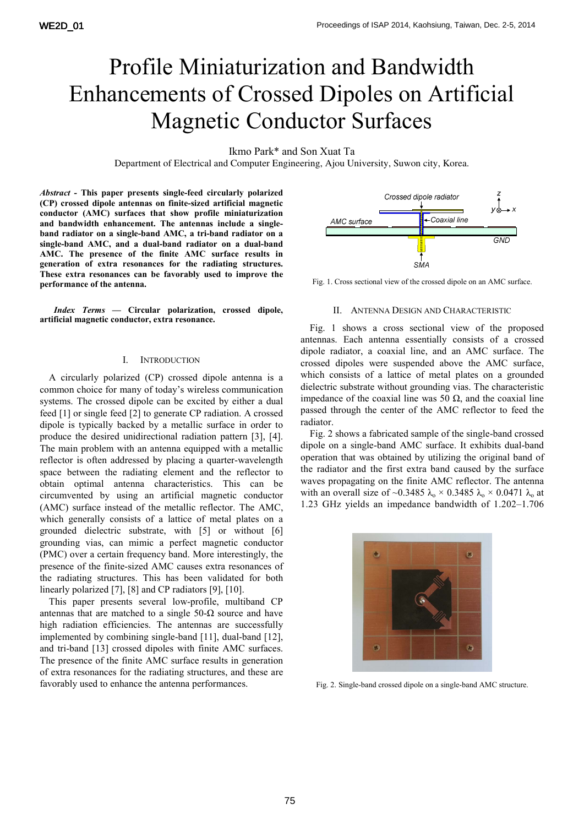# Profile Miniaturization and Bandwidth Enhancements of Crossed Dipoles on Artificial Magnetic Conductor Surfaces

## Ikmo Park\* and Son Xuat Ta

Department of Electrical and Computer Engineering, Ajou University, Suwon city, Korea.

*Abstract -* **This paper presents single-feed circularly polarized (CP) crossed dipole antennas on finite-sized artificial magnetic conductor (AMC) surfaces that show profile miniaturization and bandwidth enhancement. The antennas include a singleband radiator on a single-band AMC, a tri-band radiator on a single-band AMC, and a dual-band radiator on a dual-band AMC. The presence of the finite AMC surface results in generation of extra resonances for the radiating structures. These extra resonances can be favorably used to improve the performance of the antenna.** 

*Index Terms* **— Circular polarization, crossed dipole, artificial magnetic conductor, extra resonance.** 

## I. INTRODUCTION

A circularly polarized (CP) crossed dipole antenna is a common choice for many of today's wireless communication systems. The crossed dipole can be excited by either a dual feed [1] or single feed [2] to generate CP radiation. A crossed dipole is typically backed by a metallic surface in order to produce the desired unidirectional radiation pattern [3], [4]. The main problem with an antenna equipped with a metallic reflector is often addressed by placing a quarter-wavelength space between the radiating element and the reflector to obtain optimal antenna characteristics. This can be circumvented by using an artificial magnetic conductor (AMC) surface instead of the metallic reflector. The AMC, which generally consists of a lattice of metal plates on a grounded dielectric substrate, with [5] or without [6] grounding vias, can mimic a perfect magnetic conductor (PMC) over a certain frequency band. More interestingly, the presence of the finite-sized AMC causes extra resonances of the radiating structures. This has been validated for both linearly polarized [7], [8] and CP radiators [9], [10].

This paper presents several low-profile, multiband CP antennas that are matched to a single  $50-\Omega$  source and have high radiation efficiencies. The antennas are successfully implemented by combining single-band [11], dual-band [12], and tri-band [13] crossed dipoles with finite AMC surfaces. The presence of the finite AMC surface results in generation of extra resonances for the radiating structures, and these are favorably used to enhance the antenna performances.



Fig. 1. Cross sectional view of the crossed dipole on an AMC surface.

#### II. ANTENNA DESIGN AND CHARACTERISTIC

Fig. 1 shows a cross sectional view of the proposed antennas. Each antenna essentially consists of a crossed dipole radiator, a coaxial line, and an AMC surface. The crossed dipoles were suspended above the AMC surface, which consists of a lattice of metal plates on a grounded dielectric substrate without grounding vias. The characteristic impedance of the coaxial line was 50 Ω, and the coaxial line passed through the center of the AMC reflector to feed the radiator.

Fig. 2 shows a fabricated sample of the single-band crossed dipole on a single-band AMC surface. It exhibits dual-band operation that was obtained by utilizing the original band of the radiator and the first extra band caused by the surface waves propagating on the finite AMC reflector. The antenna with an overall size of ~0.3485  $\lambda_0 \times 0.3485$   $\lambda_0 \times 0.0471$   $\lambda_0$  at 1.23 GHz yields an impedance bandwidth of 1.202–1.706



Fig. 2. Single-band crossed dipole on a single-band AMC structure.